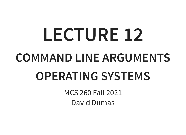# **LECTURE 12 COMMAND LINE ARGUMENTS OPERATING SYSTEMS**

MCS 260 Fall 2021 David Dumas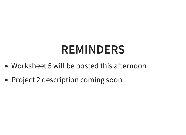### **REMINDERS**

- Worksheet 5 will be posted this afternoon
- Project 2 description coming soon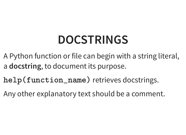### **DOCSTRINGS**

- A Python function or file can begin with a string literal, a **docstring**, to document its purpose.
- help(function\_name) retrieves docstrings.
- Any other explanatory text should be a comment.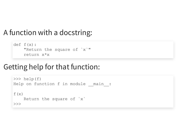#### A function with a docstring:

```
def f(x):
    "Return the square of `x`"
    return x*x
```
#### Getting help for that function:

```
\gg help(f)
Help on function f in module main :
f(x)Return the square of `x`
\gg
```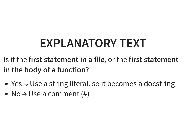### **EXPLANATORY TEXT**

Is it the **first statement in a file**, or the **first statement in the body of a function**?

- Yes  $\rightarrow$  Use a string literal, so it becomes a docstring
- No  $\rightarrow$  Use a comment (#)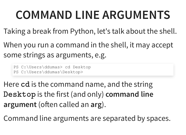### **COMMAND LINE ARGUMENTS**

Taking a break from Python, let's talk about the shell.

When you run a command in the shell, it may accept some strings as arguments, e.g.

PS C:\Users\ddumas> cd Desktop PS C:\Users\ddumas\Desktop>

Here cd is the command name, and the string Desktop is the first (and only) command line **argument** (often called an **arg**).

Command line arguments are separated by spaces.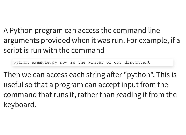A Python program can access the command line arguments provided when it was run. For example, if a script is run with the command

python example.py now is the winter of our discontent

Then we can access each string after "python". This is useful so that a program can accept input from the command that runs it, rather than reading it from the keyboard.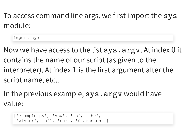#### To access command line args, we first import the sys module:

import sys

Now we have access to the list sys. argv. At index 0 it contains the name of our script (as given to the interpreter). At index 1 is the first argument after the script name, etc..

In the previous example, sys. argv would have value:

```
['example.py', 'now', 'is', 'the',
 'winter', 'of', 'our', 'discontent']
```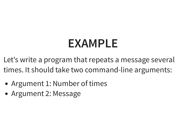### **EXAMPLE**

Let's write a program that repeats a message several times. It should take two command-line arguments:

- Argument 1: Number of times
- Argument 2: Message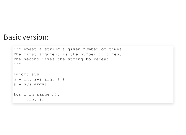#### Basic version:

```
"""Repeat a string a given number of times.
The first argument is the number of times.
The second gives the string to repeat.
TT TT TT
import sys
n = int(sys.argv[1])s = sys.array[2]for i in range(n):
    print(s)
```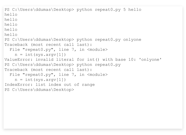```
PS C:\Users\ddumas\Desktop> python repeat0.py 5 hello
hello
hello
hello
hello
hello
PS C:\Users\ddumas\Desktop> python repeat0.py onlyone
Traceback (most recent call last):
  File "repeat0.py", line 7, in <module>
    n = int(sys.array[1])ValueError: invalid literal for int() with base 10: 'onlyone'
PS C:\Users\ddumas\Desktop> python repeat0.py
Traceback (most recent call last):
  File "repeat0.py", line 7, in <module>
    n = int(sys.array[1])IndexError: list index out of range
PS C:\Users\ddumas\Desktop>
```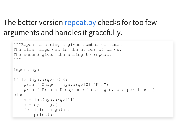#### The better version [repeat.py](https://dumas.io/teaching/2020/fall/mcs260/samplecode/repeat.py) checks for too few arguments and handles it gracefully.

```
"""Repeat a string a given number of times.
The first argument is the number of times.
The second gives the string to repeat.
TT TT TT
import sys
if len(sys.argv) \langle 3:print("Usage:"
,sys.argv[0],
"N s")
    print("Prints N copies of string s, one per line.")
else:
    n = int(sys.argv[1])s = sys.argv[2]for i in range(n):
        print(s)
```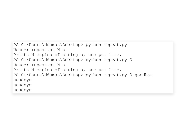```
PS C:\Users\ddumas\Desktop> python repeat.py
Usage: repeat.py N s
Prints N copies of string s, one per line.
PS C:\Users\ddumas\Desktop> python repeat.py 3
Usage: repeat.py N s
Prints N copies of string s, one per line.
PS C:\Users\ddumas\Desktop> python repeat.py 3 goodbye
goodbye
goodbye
goodbye
```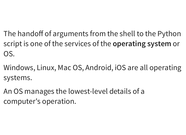The handoff of arguments from the shell to the Python script is one of the services of the **operating system** or OS.

Windows, Linux, Mac OS, Android, iOS are all operating systems.

An OS manages the lowest-level details of a computer's operation.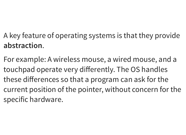- A key feature of operating systems is that they provide **abstraction**.
- For example: A wireless mouse, a wired mouse, and a touchpad operate very differently. The OS handles these differences so that a program can ask for the current position of the pointer, without concern for the specific hardware.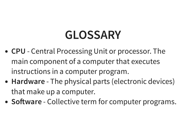### **GLOSSARY**

- **CPU** Central Processing Unit or processor. The main component of a computer that executes instructions in a computer program.
- **Hardware** The physical parts (electronic devices) that make up a computer.
- **Software** Collective term for computer programs.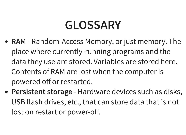### **GLOSSARY**

- **RAM** Random-Access Memory, or just memory. The place where currently-running programs and the data they use are stored. Variables are stored here. Contents of RAM are lost when the computer is powered off or restarted.
- **Persistent storage** Hardware devices such as disks, USB flash drives, etc., that can store data that is not lost on restart or power-off.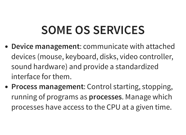### **SOME OS SERVICES**

- **Device management**: communicate with attached devices (mouse, keyboard, disks, video controller, sound hardware) and provide a standardized interface for them.
- **Process management**: Control starting, stopping, running of programs as **processes**. Manage which processes have access to the CPU at a given time.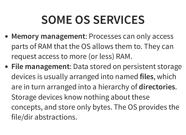## **SOME OS SERVICES**

- **Memory management**: Processes can only access parts of RAM that the OS allows them to. They can request access to more (or less) RAM.
- **File management**: Data stored on persistent storage devices is usually arranged into named **files**, which are in turn arranged into a hierarchy of **directories**. Storage devices know nothing about these concepts, and store only bytes. The OS provides the file/dir abstractions.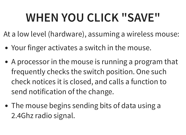## **WHEN YOU CLICK "SAVE"**

At a low level (hardware), assuming a wireless mouse:

- Your finger activates a switch in the mouse.
- A processor in the mouse is running a program that frequently checks the switch position. One such check notices it is closed, and calls a function to send notification of the change.
- The mouse begins sending bits of data using a 2.4Ghz radio signal.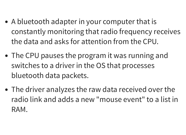- A bluetooth adapter in your computer that is constantly monitoring that radio frequency receives the data and asks for attention from the CPU.
- The CPU pauses the program it was running and switches to a driver in the OS that processes bluetooth data packets.
- The driver analyzes the raw data received over the radio link and adds a new "mouse event" to a list in RAM.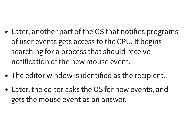- Later, another part of the OS that notifies programs of user events gets access to the CPU. It begins searching for a process that should receive notification of the new mouse event.
- The editor window is identified as the recipient.
- Later, the editor asks the OS for new events, and gets the mouse event as an answer.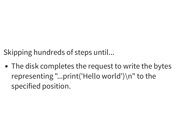Skipping hundreds of steps until...

• The disk completes the request to write the bytes representing "...print('Hello world')\n" to the specified position.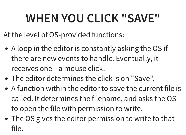# **WHEN YOU CLICK "SAVE"**

At the level of OS-provided functions:

- A loop in the editor is constantly asking the OS if there are new events to handle. Eventually, it receives one—a mouse click.
- The editor determines the click is on "Save".
- A function within the editor to save the current file is called. It determines the filename, and asks the OS to open the file with permission to write.
- The OS gives the editor permission to write to that file.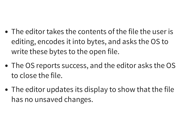- The editor takes the contents of the file the user is editing, encodes it into bytes, and asks the OS to write these bytes to the open file.
- The OS reports success, and the editor asks the OS to close the file.
- The editor updates its display to show that the file has no unsaved changes.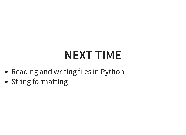### **NEXT TIME**

- Reading and writing files in Python
- String formatting